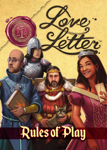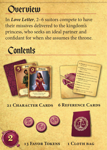

In *Love Letter*, 2–6 suitors compete to have their missives delivered to the kingdom's princess, who seeks an ideal partner and confidant for when she assumes the throne.



2





**21 Character Cards 6 Reference Cards**





**13 Favor Tokens 1 Cloth bag**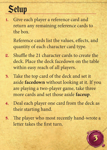

1. Give each player a reference card and return any remaining reference cards to the box.

Reference cards list the values, effects, and quantity of each character card type.

- 2. Shuffle the 21 character cards to create the deck. Place the deck facedown on the table within easy reach of all players.
- 3. Take the top card of the deck and set it aside **facedown** without looking at it. If you are playing a two-player game, take three more cards and set those aside **faceup**.
- 4. Deal each player one card from the deck as their starting hand.
- 5. The player who most recently hand-wrote a letter takes the first turn.

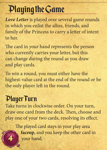# Playing the Game

*Love Letter* is played over several game rounds in which you enlist the allies, friends, and family of the Princess to carry a letter of intent to her.

The card in your hand represents the person who currently carries your letter, but this can change during the round as you draw and play cards.

To win a round, you must either have the highest-value card at the end of the round or be the only player left in the round.

## Player Turn

4

Take turns in clockwise order. On your turn, draw one card from the deck. Then, choose and play one of your two cards, resolving its effect.

> The played card stays in your play area **faceup**, and you keep the other card in your hand.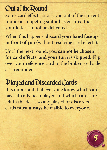### Out of the Round

Some card effects knock you out of the current round; a competing suitor has ensured that your letter cannot be delivered.

When this happens, **discard your hand faceup in front of you** (without resolving card effects).

Until the next round, **you cannot be chosen for card effects, and your turn is skipped**. Flip over your reference card to the broken seal side as a reminder.

## Played and Discarded Cards

It is important that everyone know which cards have already been played and which cards are left in the deck, so any played or discarded cards **must always be visible to everyone**.

5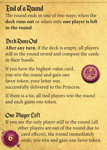### End of a Round

The round ends in one of two ways: when the **deck runs out** or when only **one player is left in the round**.

#### Deck Runs Out

**After any turn**, if the deck is empty, all players still in the round reveal and compare the cards in their hands.

If you have the highest-value card, you win the round and gain one favor token; your letter was successfully delivered to the Princess.



If there is a tie, all tied players win the round and each gains one token.

#### One Player Left

6 If you are the only player still in the round (all other players are out of the round due to card effects), the round immediately ends; you win and gain one favor token.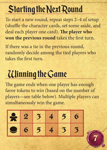# Starting the Next Round

To start a new round, repeat steps 2–4 of setup (shuffle the character cards, set some aside, and deal each player one card). **The player who won the previous round** takes the first turn.

If there was a tie in the previous round, randomly decide among the tied players who takes the first turn.

# **Ulinning the Game**

The game ends when one player has enough favor tokens to win (based on the number of players—see table below). Multiple players can simultaneously win the game.

7

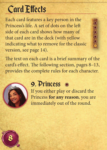# Card Effects

Each card features a key person in the Princess's life. A set of dots on the left side of each card shows how many of that card are in the deck (with yellow indicating what to remove for the classic version, see page 14).

The text on each card is a brief summary of the card's effect. The following section, pages 8–13, provides the complete rules for each character.



8

#### 9. Princess

If you either play or discard the Princess **for any reason**, you are immediately out of the round.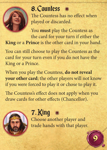

Counter of the County of the County

### 8. Countess

The Countess has no effect when played or discarded.

You **must** play the Countess as the card for your turn if either the **King** or a **Prince** is the other card in your hand.

You can still choose to play the Countess as the card for your turn even if you do not have the King or a Prince.

When you play the Countess, **do not reveal your other card**; the other players will not know if you were forced to play it or chose to play it.

The Countess's effect does not apply when you draw cards for other effects (Chancellor).



# 7. King

Choose another player and trade hands with that player.

9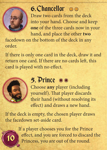

## 6. Chancellor

Draw two cards from the deck into your hand. Choose and keep **one** of the three cards now in your hand, and place the other **two**

facedown on the bottom of the deck in any order.

If there is only one card in the deck, draw it and return one card. If there are no cards left, this card is played with no effect.



10

#### 5. Prince

Choose **any** player (including yourself). That player discards their hand (without resolving its effect) and draws a new hand.

If the deck is empty, the chosen player draws the facedown set-aside card.

> If a player chooses you for the Prince effect, and you are forced to discard the Princess, you are out of the round.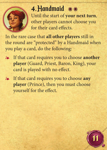

## 4. Handmaid oo

Until the start of **your next turn**, other players cannot choose you for their card effects.

In the rare case that **all other players** still in the round are "protected" by a Handmaid when you play a card, do the following:

- ❧ If that card requires you to choose **another player** (Guard, Priest, Baron, King), your card is played with no effect.
- $\text{#}$  If that card requires you to choose any **player** (Prince), then you must choose yourself for the effect.

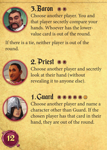

#### 3. Baron

Choose another player. You and that player secretly compare your hands. Whoever has the lowervalue card is out of the round.

If there is a tie, neither player is out of the round. e is a tre,<br>1.



### 2. Priest

Choose another player and secretly look at their hand (without  $\sqrt{\frac{1}{\sqrt{1-\frac{1}{n}}}}$  revealing it to anyone else).



12

Choose and look at another player's hand.

#### 1. Guard **OOOOOOO**

Choose another player and name a character other than Guard. If the chosen player has that card in their hand, they are out of the round.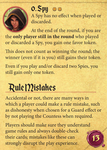

 $0.$  Spy  $\circ$   $\circ$ A Spy has no effect when played or discarded.

At the end of the round, if you are the **only player still in the round** who played or discarded a Spy, you gain one favor token.

This does not count as winning the round; the winner (even if it is you) still gains their token.

Even if you play and/or discard two Spies, you still gain only one token.

#### Rule Mistakes  $R$ uit 1/15

Accidental or not, there are many ways in which a player could make a rule mistake, such as dishonesty when chosen for a Guard effect or by not playing the Countess when required.

13

Players should make sure they understand game rules and always double-check their cards; mistakes like these can strongly disrupt the play experience.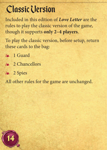# .Classic Version

Included in this edition of *Love Letter* are the rules to play the classic version of the game, though it supports **only 2–4 players**.

To play the classic version, before setup, return these cards to the bag:

- ❧ 1 Guard
- ❧ 2 Chancellors
- ❧ 2 Spies

All other rules for the game are unchanged.

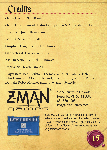## **Credits**

**Game Design:** Seiji Kanai

**Game Development:** Justin Kemppainen & Alexandar Ortloff

**Producer:** Justin Kemppainen

**Editing:** Steven Kimball

**Graphic Design:** Samuel R. Shimota

**Character Art:** Andrew Bosley

**Art Direction:** Samuel R. Shimota

**Publisher:** Steven Kimball

**Playtesters:** Beth Erikson, Thomas Gallecier, Dan Gerlach, John Hannasch, Monica Helland, Bree Lindsoe, Jasmine Radue, Danielle Robb, Michael Sanfilippo, Sarah Swindle



1995 County Rd B2 West Roseville, MN 55113 USA 651-639-1905 info@ZManGames.com



© 2019 Z-Man Games. Z-Man Games is an ® of Z-Man Games. Love Letter and the Z-Man logo are TMs of Z-Man Games. Fantasy Flight Supply is a TM of Fantasy Flight Games. Actual components may vary from those shown. .